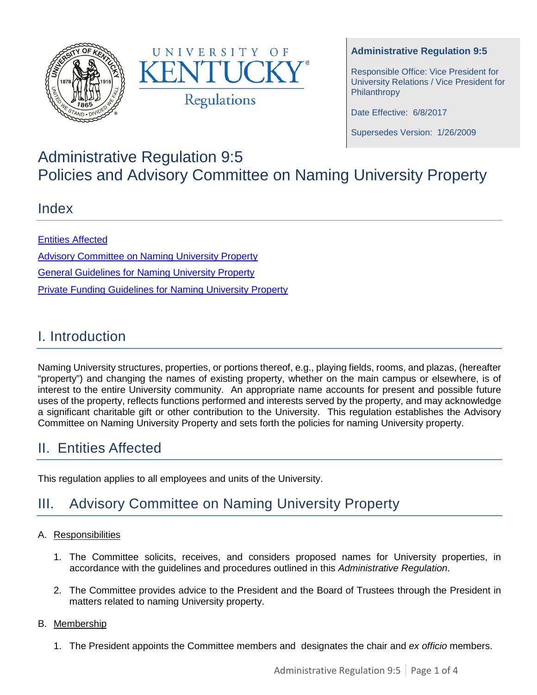



#### **Administrative Regulation 9:5**

Responsible Office: Vice President for University Relations / Vice President for Philanthropy

Date Effective: 6/8/2017

Supersedes Version: 1/26/2009

# Administrative Regulation 9:5 Policies and Advisory Committee on Naming University Property

### Index

Entities Affected [Advisory Committee](#page-0-0) on Naming University Property General Guidelines for Naming University Property Private Funding Guidelines for Naming University Property

## I. Introduction

Naming University structures, properties, or portions thereof, e.g., playing fields, rooms, and plazas, (hereafter "property") and changing the names of existing property, whether on the main campus or elsewhere, is of interest to the entire University community. An appropriate name accounts for present and possible future uses of the property, reflects functions performed and interests served by the property, and may acknowledge a significant charitable gift or other contribution to the University. This regulation establishes the Advisory Committee on Naming University Property and sets forth the policies for naming University property.

## II. Entities Affected

This regulation applies to all employees and units of the University.

# <span id="page-0-0"></span>III. Advisory Committee on Naming University Property

#### A. Responsibilities

- 1. The Committee solicits, receives, and considers proposed names for University properties, in accordance with the guidelines and procedures outlined in this *Administrative Regulation*.
- 2. The Committee provides advice to the President and the Board of Trustees through the President in matters related to naming University property.

#### B. Membership

1. The President appoints the Committee members and designates the chair and *ex officio* members.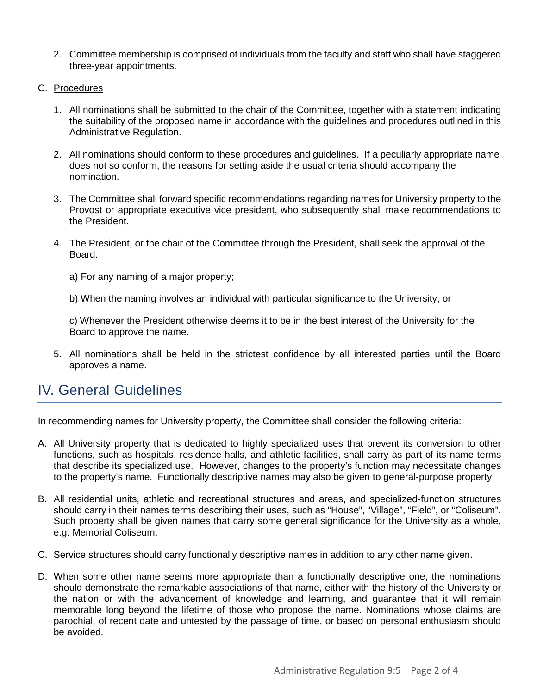- 2. Committee membership is comprised of individuals from the faculty and staff who shall have staggered three-year appointments.
- C. Procedures
	- 1. All nominations shall be submitted to the chair of the Committee, together with a statement indicating the suitability of the proposed name in accordance with the guidelines and procedures outlined in this Administrative Regulation.
	- 2. All nominations should conform to these procedures and guidelines. If a peculiarly appropriate name does not so conform, the reasons for setting aside the usual criteria should accompany the nomination.
	- 3. The Committee shall forward specific recommendations regarding names for University property to the Provost or appropriate executive vice president, who subsequently shall make recommendations to the President.
	- 4. The President, or the chair of the Committee through the President, shall seek the approval of the Board:
		- a) For any naming of a major property;

b) When the naming involves an individual with particular significance to the University; or

c) Whenever the President otherwise deems it to be in the best interest of the University for the Board to approve the name.

5. All nominations shall be held in the strictest confidence by all interested parties until the Board approves a name.

## IV. General Guidelines

In recommending names for University property, the Committee shall consider the following criteria:

- A. All University property that is dedicated to highly specialized uses that prevent its conversion to other functions, such as hospitals, residence halls, and athletic facilities, shall carry as part of its name terms that describe its specialized use. However, changes to the property's function may necessitate changes to the property's name. Functionally descriptive names may also be given to general-purpose property.
- B. All residential units, athletic and recreational structures and areas, and specialized-function structures should carry in their names terms describing their uses, such as "House", "Village", "Field", or "Coliseum". Such property shall be given names that carry some general significance for the University as a whole, e.g. Memorial Coliseum.
- C. Service structures should carry functionally descriptive names in addition to any other name given.
- D. When some other name seems more appropriate than a functionally descriptive one, the nominations should demonstrate the remarkable associations of that name, either with the history of the University or the nation or with the advancement of knowledge and learning, and guarantee that it will remain memorable long beyond the lifetime of those who propose the name. Nominations whose claims are parochial, of recent date and untested by the passage of time, or based on personal enthusiasm should be avoided.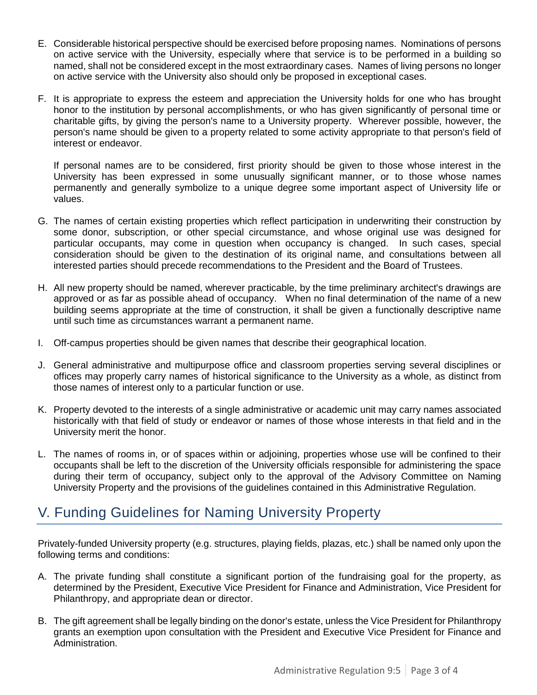- E. Considerable historical perspective should be exercised before proposing names. Nominations of persons on active service with the University, especially where that service is to be performed in a building so named, shall not be considered except in the most extraordinary cases. Names of living persons no longer on active service with the University also should only be proposed in exceptional cases.
- F. It is appropriate to express the esteem and appreciation the University holds for one who has brought honor to the institution by personal accomplishments, or who has given significantly of personal time or charitable gifts, by giving the person's name to a University property. Wherever possible, however, the person's name should be given to a property related to some activity appropriate to that person's field of interest or endeavor.

If personal names are to be considered, first priority should be given to those whose interest in the University has been expressed in some unusually significant manner, or to those whose names permanently and generally symbolize to a unique degree some important aspect of University life or values.

- G. The names of certain existing properties which reflect participation in underwriting their construction by some donor, subscription, or other special circumstance, and whose original use was designed for particular occupants, may come in question when occupancy is changed. In such cases, special consideration should be given to the destination of its original name, and consultations between all interested parties should precede recommendations to the President and the Board of Trustees.
- H. All new property should be named, wherever practicable, by the time preliminary architect's drawings are approved or as far as possible ahead of occupancy. When no final determination of the name of a new building seems appropriate at the time of construction, it shall be given a functionally descriptive name until such time as circumstances warrant a permanent name.
- I. Off-campus properties should be given names that describe their geographical location.
- J. General administrative and multipurpose office and classroom properties serving several disciplines or offices may properly carry names of historical significance to the University as a whole, as distinct from those names of interest only to a particular function or use.
- K. Property devoted to the interests of a single administrative or academic unit may carry names associated historically with that field of study or endeavor or names of those whose interests in that field and in the University merit the honor.
- L. The names of rooms in, or of spaces within or adjoining, properties whose use will be confined to their occupants shall be left to the discretion of the University officials responsible for administering the space during their term of occupancy, subject only to the approval of the Advisory Committee on Naming University Property and the provisions of the guidelines contained in this Administrative Regulation.

## V. Funding Guidelines for Naming University Property

Privately-funded University property (e.g. structures, playing fields, plazas, etc.) shall be named only upon the following terms and conditions:

- A. The private funding shall constitute a significant portion of the fundraising goal for the property, as determined by the President, Executive Vice President for Finance and Administration, Vice President for Philanthropy, and appropriate dean or director.
- B. The gift agreement shall be legally binding on the donor's estate, unless the Vice President for Philanthropy grants an exemption upon consultation with the President and Executive Vice President for Finance and Administration.